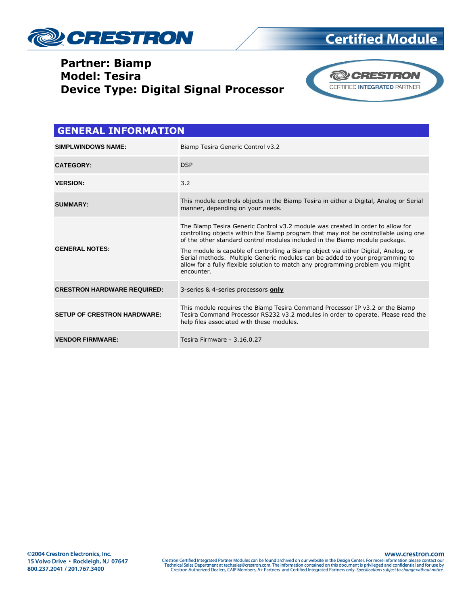

### **Partner: Biamp Model: Tesira Device Type: Digital Signal Processor**



| <b>GENERAL INFORMATION</b>         |                                                                                                                                                                                                                                                                                                                                                                                                                                                                                                                            |  |  |
|------------------------------------|----------------------------------------------------------------------------------------------------------------------------------------------------------------------------------------------------------------------------------------------------------------------------------------------------------------------------------------------------------------------------------------------------------------------------------------------------------------------------------------------------------------------------|--|--|
| <b>SIMPLWINDOWS NAME:</b>          | Biamp Tesira Generic Control v3.2                                                                                                                                                                                                                                                                                                                                                                                                                                                                                          |  |  |
| <b>CATEGORY:</b>                   | <b>DSP</b>                                                                                                                                                                                                                                                                                                                                                                                                                                                                                                                 |  |  |
| <b>VERSION:</b>                    | 3.2                                                                                                                                                                                                                                                                                                                                                                                                                                                                                                                        |  |  |
| <b>SUMMARY:</b>                    | This module controls objects in the Biamp Tesira in either a Digital, Analog or Serial<br>manner, depending on your needs.                                                                                                                                                                                                                                                                                                                                                                                                 |  |  |
| <b>GENERAL NOTES:</b>              | The Biamp Tesira Generic Control v3.2 module was created in order to allow for<br>controlling objects within the Biamp program that may not be controllable using one<br>of the other standard control modules included in the Biamp module package.<br>The module is capable of controlling a Biamp object via either Digital, Analog, or<br>Serial methods. Multiple Generic modules can be added to your programming to<br>allow for a fully flexible solution to match any programming problem you might<br>encounter. |  |  |
| <b>CRESTRON HARDWARE REQUIRED:</b> | 3-series & 4-series processors only                                                                                                                                                                                                                                                                                                                                                                                                                                                                                        |  |  |
| <b>SETUP OF CRESTRON HARDWARE:</b> | This module requires the Biamp Tesira Command Processor IP v3.2 or the Biamp<br>Tesira Command Processor RS232 v3.2 modules in order to operate. Please read the<br>help files associated with these modules.                                                                                                                                                                                                                                                                                                              |  |  |
| <b>VENDOR FIRMWARE:</b>            | Tesira Firmware - 3.16.0.27                                                                                                                                                                                                                                                                                                                                                                                                                                                                                                |  |  |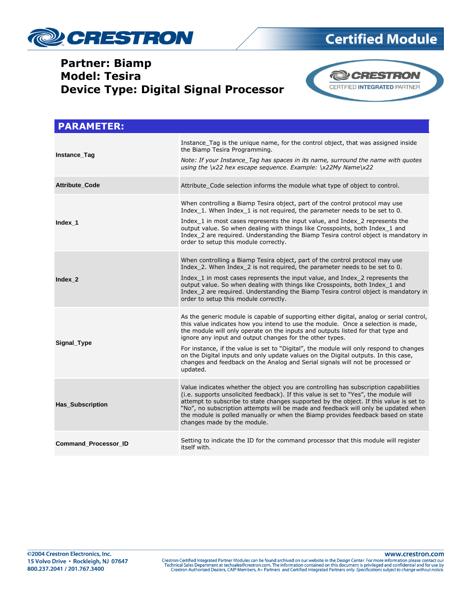

### **Partner: Biamp Model: Tesira Device Type: Digital Signal Processor**



| <b>PARAMETER:</b>           |                                                                                                                                                                                                                                                                                                                                                                                                                                                                                                                                                                                                            |  |  |
|-----------------------------|------------------------------------------------------------------------------------------------------------------------------------------------------------------------------------------------------------------------------------------------------------------------------------------------------------------------------------------------------------------------------------------------------------------------------------------------------------------------------------------------------------------------------------------------------------------------------------------------------------|--|--|
| Instance_Tag                | Instance_Tag is the unique name, for the control object, that was assigned inside<br>the Biamp Tesira Programming.<br>Note: If your Instance_Tag has spaces in its name, surround the name with quotes<br>using the \x22 hex escape sequence. Example: \x22My Name\x22                                                                                                                                                                                                                                                                                                                                     |  |  |
| <b>Attribute Code</b>       | Attribute Code selection informs the module what type of object to control.                                                                                                                                                                                                                                                                                                                                                                                                                                                                                                                                |  |  |
| Index 1                     | When controlling a Biamp Tesira object, part of the control protocol may use<br>Index_1. When Index_1 is not required, the parameter needs to be set to 0.<br>Index 1 in most cases represents the input value, and Index 2 represents the<br>output value. So when dealing with things like Crosspoints, both Index_1 and<br>Index_2 are required. Understanding the Biamp Tesira control object is mandatory in<br>order to setup this module correctly.                                                                                                                                                 |  |  |
| Index 2                     | When controlling a Biamp Tesira object, part of the control protocol may use<br>Index 2. When Index 2 is not required, the parameter needs to be set to 0.<br>Index_1 in most cases represents the input value, and Index_2 represents the<br>output value. So when dealing with things like Crosspoints, both Index 1 and<br>Index 2 are required. Understanding the Biamp Tesira control object is mandatory in<br>order to setup this module correctly.                                                                                                                                                 |  |  |
| Signal_Type                 | As the generic module is capable of supporting either digital, analog or serial control,<br>this value indicates how you intend to use the module. Once a selection is made,<br>the module will only operate on the inputs and outputs listed for that type and<br>ignore any input and output changes for the other types.<br>For instance, if the value is set to "Digital", the module will only respond to changes<br>on the Digital inputs and only update values on the Digital outputs. In this case,<br>changes and feedback on the Analog and Serial signals will not be processed or<br>updated. |  |  |
| <b>Has_Subscription</b>     | Value indicates whether the object you are controlling has subscription capabilities<br>(i.e. supports unsolicited feedback). If this value is set to "Yes", the module will<br>attempt to subscribe to state changes supported by the object. If this value is set to<br>"No", no subscription attempts will be made and feedback will only be updated when<br>the module is polled manually or when the Biamp provides feedback based on state<br>changes made by the module.                                                                                                                            |  |  |
| <b>Command Processor ID</b> | Setting to indicate the ID for the command processor that this module will register<br>itself with.                                                                                                                                                                                                                                                                                                                                                                                                                                                                                                        |  |  |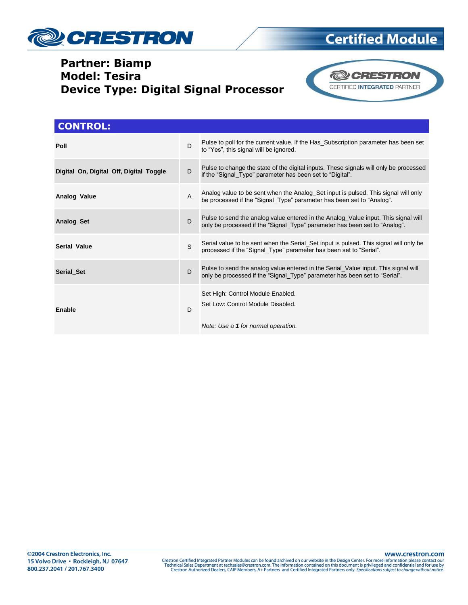

### **Partner: Biamp Model: Tesira Device Type: Digital Signal Processor**



| <b>CONTROL:</b>                         |                |                                                                                                                                                                  |  |  |
|-----------------------------------------|----------------|------------------------------------------------------------------------------------------------------------------------------------------------------------------|--|--|
| Poll                                    | D              | Pulse to poll for the current value. If the Has_Subscription parameter has been set<br>to "Yes", this signal will be ignored.                                    |  |  |
| Digital_On, Digital_Off, Digital_Toggle | D              | Pulse to change the state of the digital inputs. These signals will only be processed<br>if the "Signal Type" parameter has been set to "Digital".               |  |  |
| Analog_Value                            | $\overline{A}$ | Analog value to be sent when the Analog_Set input is pulsed. This signal will only<br>be processed if the "Signal Type" parameter has been set to "Analog".      |  |  |
| Analog_Set                              | D              | Pulse to send the analog value entered in the Analog_Value input. This signal will<br>only be processed if the "Signal Type" parameter has been set to "Analog". |  |  |
| <b>Serial Value</b>                     | S.             | Serial value to be sent when the Serial_Set input is pulsed. This signal will only be<br>processed if the "Signal Type" parameter has been set to "Serial".      |  |  |
| <b>Serial Set</b>                       | D              | Pulse to send the analog value entered in the Serial_Value input. This signal will<br>only be processed if the "Signal_Type" parameter has been set to "Serial". |  |  |
| Enable                                  | D              | Set High: Control Module Enabled.<br>Set Low: Control Module Disabled.<br>Note: Use a 1 for normal operation.                                                    |  |  |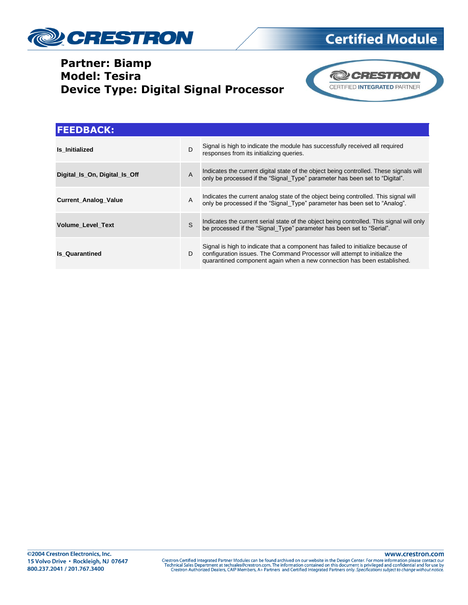

### **Partner: Biamp Model: Tesira Device Type: Digital Signal Processor**





| <b>FEEDBACK:</b>              |   |                                                                                                                                                                                                                                          |  |  |
|-------------------------------|---|------------------------------------------------------------------------------------------------------------------------------------------------------------------------------------------------------------------------------------------|--|--|
| Is Initialized                | D | Signal is high to indicate the module has successfully received all required<br>responses from its initializing queries.                                                                                                                 |  |  |
| Digital_Is_On, Digital_Is_Off | A | Indicates the current digital state of the object being controlled. These signals will<br>only be processed if the "Signal_Type" parameter has been set to "Digital".                                                                    |  |  |
| <b>Current Analog Value</b>   | A | Indicates the current analog state of the object being controlled. This signal will<br>only be processed if the "Signal Type" parameter has been set to "Analog".                                                                        |  |  |
| <b>Volume Level Text</b>      | S | Indicates the current serial state of the object being controlled. This signal will only<br>be processed if the "Signal Type" parameter has been set to "Serial".                                                                        |  |  |
| <b>Is Quarantined</b>         | D | Signal is high to indicate that a component has failed to initialize because of<br>configuration issues. The Command Processor will attempt to initialize the<br>quarantined component again when a new connection has been established. |  |  |